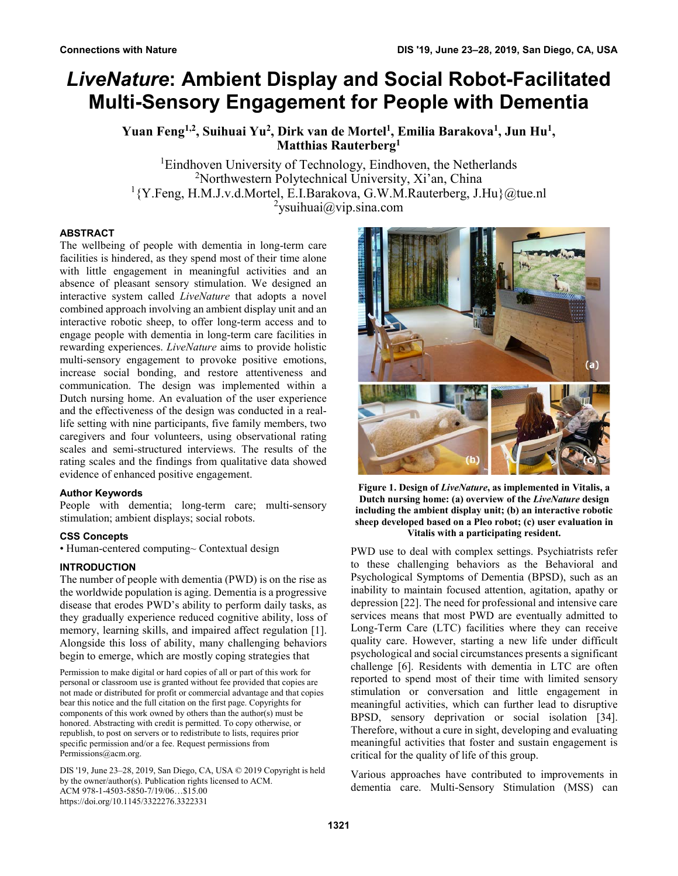# *LiveNature***: Ambient Display and Social Robot-Facilitated Multi-Sensory Engagement for People with Dementia**

**Yuan Feng1,2 , Suihuai Yu<sup>2</sup> , Dirk van de Mortel<sup>1</sup> , Emilia Barakova<sup>1</sup> , Jun Hu<sup>1</sup> , Matthias Rauterberg<sup>1</sup>**

<sup>1</sup>Eindhoven University of Technology, Eindhoven, the Netherlands <sup>2</sup>Northwestern Polytechnical University, Xi'an, China <sup>1</sup> {Y.Feng, H.M.J.v.d.Mortel, E.I.Barakova, G.W.M.Rauterberg, J.Hu}@tue.nl <sup>2</sup>ysuihuai@vip.sina.com

# **ABSTRACT**

The wellbeing of people with dementia in long-term care facilities is hindered, as they spend most of their time alone with little engagement in meaningful activities and an absence of pleasant sensory stimulation. We designed an interactive system called *LiveNature* that adopts a novel combined approach involving an ambient display unit and an interactive robotic sheep, to offer long-term access and to engage people with dementia in long-term care facilities in rewarding experiences. *LiveNature* aims to provide holistic multi-sensory engagement to provoke positive emotions, increase social bonding, and restore attentiveness and communication. The design was implemented within a Dutch nursing home. An evaluation of the user experience and the effectiveness of the design was conducted in a reallife setting with nine participants, five family members, two caregivers and four volunteers, using observational rating scales and semi-structured interviews. The results of the rating scales and the findings from qualitative data showed evidence of enhanced positive engagement.

### **Author Keywords**

People with dementia; long-term care; multi-sensory stimulation; ambient displays; social robots.

### **CSS Concepts**

• Human-centered computing~ Contextual design

# **INTRODUCTION**

The number of people with dementia (PWD) is on the rise as the worldwide population is aging. Dementia is a progressive disease that erodes PWD's ability to perform daily tasks, as they gradually experience reduced cognitive ability, loss of memory, learning skills, and impaired affect regulation [\[1\].](#page-10-0) Alongside this loss of ability, many challenging behaviors begin to emerge, which are mostly coping strategies that

Permission to make digital or hard copies of all or part of this work for personal or classroom use is granted without fee provided that copies are not made or distributed for profit or commercial advantage and that copies bear this notice and the full citation on the first page. Copyrights for components of this work owned by others than the author(s) must be honored. Abstracting with credit is permitted. To copy otherwise, or republish, to post on servers or to redistribute to lists, requires prior specific permission and/or a fee. Request permissions from Permissions@acm.org.

DIS '19, June 23–28, 2019, San Diego, CA, USA © 2019 Copyright is held by the owner/author(s). Publication rights licensed to ACM. ACM 978-1-4503-5850-7/19/06…\$15.00 https://doi.org/10.1145/3322276.3322331



**Figure 1. Design of** *LiveNature***, as implemented in Vitalis, a Dutch nursing home: (a) overview of the** *LiveNature* **design including the ambient display unit; (b) an interactive robotic sheep developed based on a Pleo robot; (c) user evaluation in Vitalis with a participating resident.**

PWD use to deal with complex settings. Psychiatrists refer to these challenging behaviors as the Behavioral and Psychological Symptoms of Dementia (BPSD), such as an inability to maintain focused attention, agitation, apathy or depression [22]. The need for professional and intensive care services means that most PWD are eventually admitted to Long-Term Care (LTC) facilities where they can receive quality care. However, starting a new life under difficult psychological and social circumstances presents a significant challenge [6]. Residents with dementia in LTC are often reported to spend most of their time with limited sensory stimulation or conversation and little engagement in meaningful activities, which can further lead to disruptive BPSD, sensory deprivation or social isolation [34]. Therefore, without a cure in sight, developing and evaluating meaningful activities that foster and sustain engagement is critical for the quality of life of this group.

Various approaches have contributed to improvements in dementia care. Multi-Sensory Stimulation (MSS) can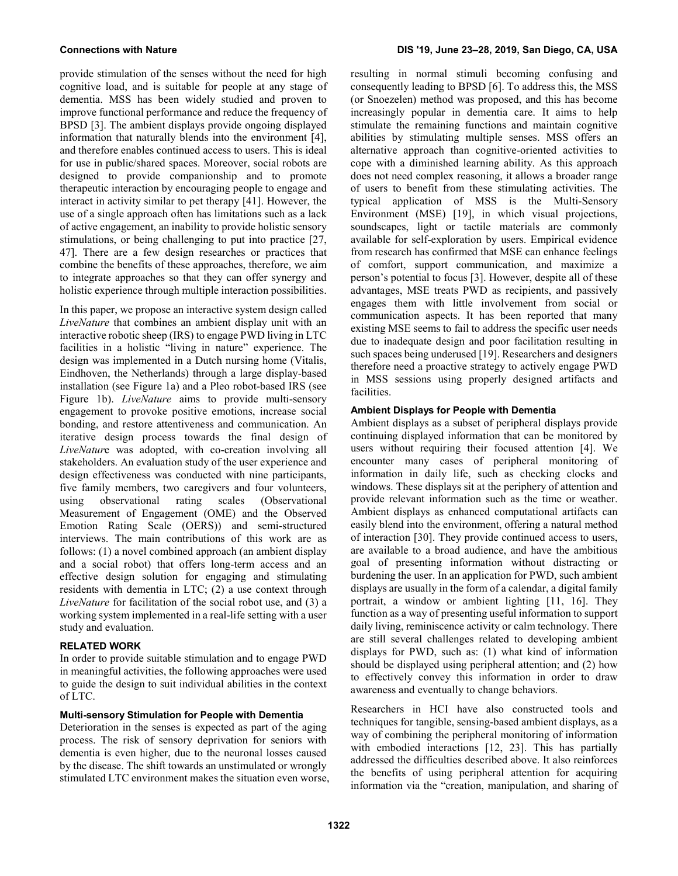provide stimulation of the senses without the need for high cognitive load, and is suitable for people at any stage of dementia. MSS has been widely studied and proven to improve functional performance and reduce the frequency of BPSD [\[3\].](#page-10-3) The ambient displays provide ongoing displayed information that naturally blends into the environment [\[4\],](#page-10-4) and therefore enables continued access to users. This is ideal for use in public/shared spaces. Moreover, social robots are designed to provide companionship and to promote therapeutic interaction by encouraging people to engage and interact in activity similar to pet therapy [\[41\].](#page-11-1) However, the use of a single approach often has limitations such as a lack of active engagement, an inability to provide holistic sensory stimulations, or being challenging to put into practice [\[27,](#page-11-2) [47\].](#page-11-3) There are a few design researches or practices that combine the benefits of these approaches, therefore, we aim to integrate approaches so that they can offer synergy and holistic experience through multiple interaction possibilities.

In this paper, we propose an interactive system design called *LiveNature* that combines an ambient display unit with an interactive robotic sheep (IRS) to engage PWD living in LTC facilities in a holistic "living in nature" experience. The design was implemented in a Dutch nursing home (Vitalis, Eindhoven, the Netherlands) through a large display-based installation (see Figure 1a) and a Pleo robot-based IRS (see Figure 1b). *LiveNature* aims to provide multi-sensory engagement to provoke positive emotions, increase social bonding, and restore attentiveness and communication. An iterative design process towards the final design of *LiveNatur*e was adopted, with co-creation involving all stakeholders. An evaluation study of the user experience and design effectiveness was conducted with nine participants, five family members, two caregivers and four volunteers, using observational rating scales (Observational Measurement of Engagement (OME) and the Observed Emotion Rating Scale (OERS)) and semi-structured interviews. The main contributions of this work are as follows: (1) a novel combined approach (an ambient display and a social robot) that offers long-term access and an effective design solution for engaging and stimulating residents with dementia in LTC; (2) a use context through *LiveNature* for facilitation of the social robot use, and (3) a working system implemented in a real-life setting with a user study and evaluation. Connections with the third of the state of the state of the state of the state of the state of the state of the state of the state of the state of the state of the state of the state of the state of the state of the state

### **RELATED WORK**

In order to provide suitable stimulation and to engage PWD in meaningful activities, the following approaches were used to guide the design to suit individual abilities in the context of LTC.

### **Multi-sensory Stimulation for People with Dementia**

Deterioration in the senses is expected as part of the aging process. The risk of sensory deprivation for seniors with dementia is even higher, due to the neuronal losses caused by the disease. The shift towards an unstimulated or wrongly stimulated LTC environment makes the situation even worse, resulting in normal stimuli becoming confusing and consequently leading to BPSD [6]. To address this, the MSS (or Snoezelen) method was proposed, and this has become increasingly popular in dementia care. It aims to help stimulate the remaining functions and maintain cognitive abilities by stimulating multiple senses. MSS offers an alternative approach than cognitive-oriented activities to cope with a diminished learning ability. As this approach does not need complex reasoning, it allows a broader range of users to benefit from these stimulating activities. The typical application of MSS is the Multi-Sensory Environment (MSE) [19], in which visual projections, soundscapes, light or tactile materials are commonly available for self-exploration by users. Empirical evidence from research has confirmed that MSE can enhance feelings of comfort, support communication, and maximize a person's potential to focus [3]. However, despite all of these advantages, MSE treats PWD as recipients, and passively engages them with little involvement from social or communication aspects. It has been reported that many existing MSE seems to fail to address the specific user needs due to inadequate design and poor facilitation resulting in such spaces being underused [19]. Researchers and designers therefore need a proactive strategy to actively engage PWD in MSS sessions using properly designed artifacts and facilities.

#### **Ambient Displays for People with Dementia**

Ambient displays as a subset of peripheral displays provide continuing displayed information that can be monitored by users without requiring their focused attention [4]. We encounter many cases of peripheral monitoring of information in daily life, such as checking clocks and windows. These displays sit at the periphery of attention and provide relevant information such as the time or weather. Ambient displays as enhanced computational artifacts can easily blend into the environment, offering a natural method of interaction [30]. They provide continued access to users, are available to a broad audience, and have the ambitious goal of presenting information without distracting or burdening the user. In an application for PWD, such ambient displays are usually in the form of a calendar, a digital family portrait, a window or ambient lighting [11, 16]. They function as a way of presenting useful information to support daily living, reminiscence activity or calm technology. There are still several challenges related to developing ambient displays for PWD, such as: (1) what kind of information should be displayed using peripheral attention; and (2) how to effectively convey this information in order to draw awareness and eventually to change behaviors.

Researchers in HCI have also constructed tools and techniques for tangible, sensing-based ambient displays, as a way of combining the peripheral monitoring of information with embodied interactions [12, 23]. This has partially addressed the difficulties described above. It also reinforces the benefits of using peripheral attention for acquiring information via the "creation, manipulation, and sharing of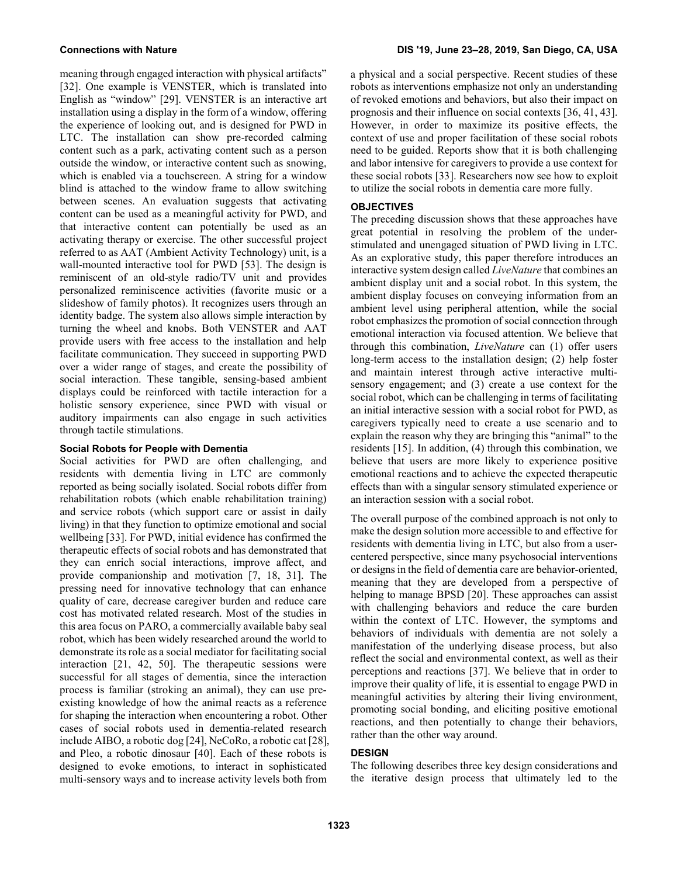meaning through engaged interaction with physical artifacts" [\[32\].](#page-11-5) One example is VENSTER, which is translated into English as "window" [\[29\].](#page-11-6) VENSTER is an interactive art installation using a display in the form of a window, offering the experience of looking out, and is designed for PWD in LTC. The installation can show pre-recorded calming content such as a park, activating content such as a person outside the window, or interactive content such as snowing, which is enabled via a touchscreen. A string for a window blind is attached to the window frame to allow switching between scenes. An evaluation suggests that activating content can be used as a meaningful activity for PWD, and that interactive content can potentially be used as an activating therapy or exercise. The other successful project referred to as AAT (Ambient Activity Technology) unit, is a wall-mounted interactive tool for PWD [\[53\].](#page-12-0) The design is reminiscent of an old-style radio/TV unit and provides personalized reminiscence activities (favorite music or a slideshow of family photos). It recognizes users through an identity badge. The system also allows simple interaction by turning the wheel and knobs. Both VENSTER and AAT provide users with free access to the installation and help facilitate communication. They succeed in supporting PWD over a wider range of stages, and create the possibility of social interaction. These tangible, sensing-based ambient displays could be reinforced with tactile interaction for a holistic sensory experience, since PWD with visual or auditory impairments can also engage in such activities through tactile stimulations. Connections with Material connections with physical activity. DBI<sup>4</sup> **DES** 2018, 2018 (No. 2018) and the connection of the content of the connection of the connection of the connection of the connection of the connection

#### **Social Robots for People with Dementia**

Social activities for PWD are often challenging, and residents with dementia living in LTC are commonly reported as being socially isolated. Social robots differ from rehabilitation robots (which enable rehabilitation training) and service robots (which support care or assist in daily living) in that they function to optimize emotional and social wellbeing [\[33\].](#page-11-7) For PWD, initial evidence has confirmed the therapeutic effects of social robots and has demonstrated that they can enrich social interactions, improve affect, and provide companionship and motivation [\[7,](#page-10-10) [18,](#page-10-11) [31\]](#page-11-8). The pressing need for innovative technology that can enhance quality of care, decrease caregiver burden and reduce care cost has motivated related research. Most of the studies in this area focus on PARO, a commercially available baby seal robot, which has been widely researched around the world to demonstrate its role as a social mediator for facilitating social interaction [\[21,](#page-10-12) [42,](#page-11-9) [50\].](#page-12-1) The therapeutic sessions were successful for all stages of dementia, since the interaction process is familiar (stroking an animal), they can use preexisting knowledge of how the animal reacts as a reference for shaping the interaction when encountering a robot. Other cases of social robots used in dementia-related research include AIBO, a robotic dog [\[24\],](#page-10-13) NeCoRo, a robotic cat [\[28\],](#page-11-10) and Pleo, a robotic dinosaur [\[40\].](#page-11-11) Each of these robots is designed to evoke emotions, to interact in sophisticated multi-sensory ways and to increase activity levels both from

a physical and a social perspective. Recent studies of these robots as interventions emphasize not only an understanding of revoked emotions and behaviors, but also their impact on prognosis and their influence on social contexts [36, 41, 43]. However, in order to maximize its positive effects, the context of use and proper facilitation of these social robots need to be guided. Reports show that it is both challenging and labor intensive for caregivers to provide a use context for these social robots [33]. Researchers now see how to exploit to utilize the social robots in dementia care more fully.

### **OBJECTIVES**

The preceding discussion shows that these approaches have great potential in resolving the problem of the understimulated and unengaged situation of PWD living in LTC. As an explorative study, this paper therefore introduces an interactive system design called *LiveNature* that combines an ambient display unit and a social robot. In this system, the ambient display focuses on conveying information from an ambient level using peripheral attention, while the social robot emphasizes the promotion of social connection through emotional interaction via focused attention. We believe that through this combination, *LiveNature* can (1) offer users long-term access to the installation design; (2) help foster and maintain interest through active interactive multisensory engagement; and (3) create a use context for the social robot, which can be challenging in terms of facilitating an initial interactive session with a social robot for PWD, as caregivers typically need to create a use scenario and to explain the reason why they are bringing this "animal" to the residents [15]. In addition, (4) through this combination, we believe that users are more likely to experience positive emotional reactions and to achieve the expected therapeutic effects than with a singular sensory stimulated experience or an interaction session with a social robot.

The overall purpose of the combined approach is not only to make the design solution more accessible to and effective for residents with dementia living in LTC, but also from a usercentered perspective, since many psychosocial interventions or designs in the field of dementia care are behavior-oriented, meaning that they are developed from a perspective of helping to manage BPSD [20]. These approaches can assist with challenging behaviors and reduce the care burden within the context of LTC. However, the symptoms and behaviors of individuals with dementia are not solely a manifestation of the underlying disease process, but also reflect the social and environmental context, as well as their perceptions and reactions [37]. We believe that in order to improve their quality of life, it is essential to engage PWD in meaningful activities by altering their living environment, promoting social bonding, and eliciting positive emotional reactions, and then potentially to change their behaviors, rather than the other way around.

#### **DESIGN**

The following describes three key design considerations and the iterative design process that ultimately led to the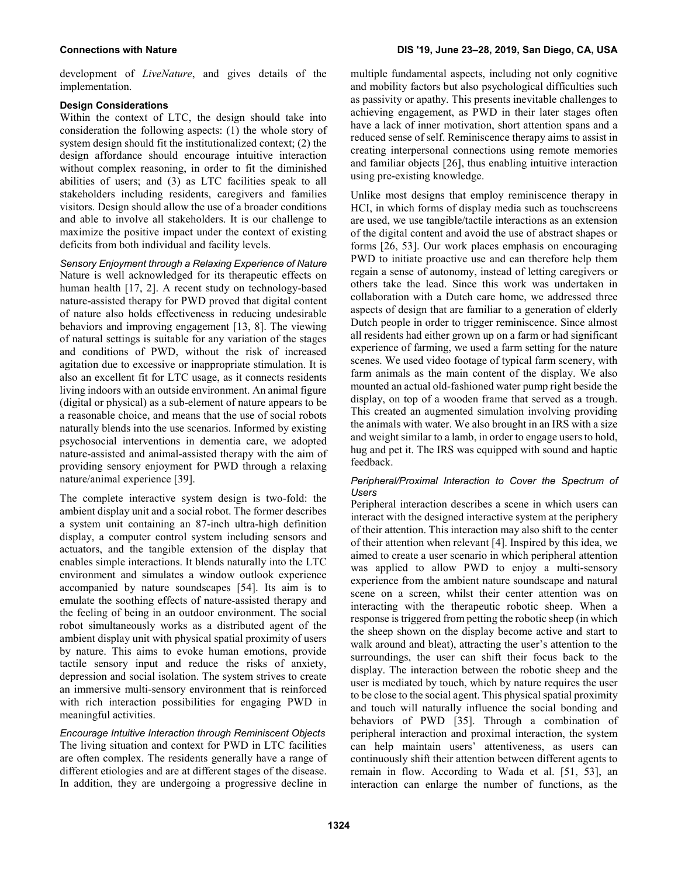# **Design Considerations**

Within the context of LTC, the design should take into consideration the following aspects: (1) the whole story of system design should fit the institutionalized context; (2) the design affordance should encourage intuitive interaction without complex reasoning, in order to fit the diminished abilities of users; and (3) as LTC facilities speak to all stakeholders including residents, caregivers and families visitors. Design should allow the use of a broader conditions and able to involve all stakeholders. It is our challenge to maximize the positive impact under the context of existing deficits from both individual and facility levels.

*Sensory Enjoyment through a Relaxing Experience of Nature* Nature is well acknowledged for its therapeutic effects on human health [\[17,](#page-10-16) [2\].](#page-10-17) A recent study on technology-based nature-assisted therapy for PWD proved that digital content of nature also holds effectiveness in reducing undesirable behaviors and improving engagement [\[13,](#page-10-18) [8\].](#page-10-19) The viewing of natural settings is suitable for any variation of the stages and conditions of PWD, without the risk of increased agitation due to excessive or inappropriate stimulation. It is also an excellent fit for LTC usage, as it connects residents living indoors with an outside environment. An animal figure (digital or physical) as a sub-element of nature appears to be a reasonable choice, and means that the use of social robots naturally blends into the use scenarios. Informed by existing psychosocial interventions in dementia care, we adopted nature-assisted and animal-assisted therapy with the aim of providing sensory enjoyment for PWD through a relaxing nature/animal experience [\[39\].](#page-11-15)

The complete interactive system design is two-fold: the ambient display unit and a social robot. The former describes a system unit containing an 87-inch ultra-high definition display, a computer control system including sensors and actuators, and the tangible extension of the display that enables simple interactions. It blends naturally into the LTC environment and simulates a window outlook experience accompanied by nature soundscapes [\[54\].](#page-12-2) Its aim is to emulate the soothing effects of nature-assisted therapy and the feeling of being in an outdoor environment. The social robot simultaneously works as a distributed agent of the ambient display unit with physical spatial proximity of users by nature. This aims to evoke human emotions, provide tactile sensory input and reduce the risks of anxiety, depression and social isolation. The system strives to create an immersive multi-sensory environment that is reinforced with rich interaction possibilities for engaging PWD in meaningful activities.

*Encourage Intuitive Interaction through Reminiscent Objects* The living situation and context for PWD in LTC facilities are often complex. The residents generally have a range of different etiologies and are at different stages of the disease. In addition, they are undergoing a progressive decline in

multiple fundamental aspects, including not only cognitive and mobility factors but also psychological difficulties such as passivity or apathy. This presents inevitable challenges to achieving engagement, as PWD in their later stages often have a lack of inner motivation, short attention spans and a reduced sense of self. Reminiscence therapy aims to assist in creating interpersonal connections using remote memories and familiar objects [26], thus enabling intuitive interaction using pre-existing knowledge.

Unlike most designs that employ reminiscence therapy in HCI, in which forms of display media such as touchscreens are used, we use tangible/tactile interactions as an extension of the digital content and avoid the use of abstract shapes or forms [26, 53]. Our work places emphasis on encouraging PWD to initiate proactive use and can therefore help them regain a sense of autonomy, instead of letting caregivers or others take the lead. Since this work was undertaken in collaboration with a Dutch care home, we addressed three aspects of design that are familiar to a generation of elderly Dutch people in order to trigger reminiscence. Since almost all residents had either grown up on a farm or had significant experience of farming, we used a farm setting for the nature scenes. We used video footage of typical farm scenery, with farm animals as the main content of the display. We also mounted an actual old-fashioned water pump right beside the display, on top of a wooden frame that served as a trough. This created an augmented simulation involving providing the animals with water. We also brought in an IRS with a size and weight similar to a lamb, in order to engage users to hold, hug and pet it. The IRS was equipped with sound and haptic feedback.

### *Peripheral/Proximal Interaction to Cover the Spectrum of Users*

Peripheral interaction describes a scene in which users can interact with the designed interactive system at the periphery of their attention. This interaction may also shift to the center of their attention when relevant [4]. Inspired by this idea, we aimed to create a user scenario in which peripheral attention was applied to allow PWD to enjoy a multi-sensory experience from the ambient nature soundscape and natural scene on a screen, whilst their center attention was on interacting with the therapeutic robotic sheep. When a response is triggered from petting the robotic sheep (in which the sheep shown on the display become active and start to walk around and bleat), attracting the user's attention to the surroundings, the user can shift their focus back to the display. The interaction between the robotic sheep and the user is mediated by touch, which by nature requires the user to be close to the social agent. This physical spatial proximity and touch will naturally influence the social bonding and behaviors of PWD [35]. Through a combination of peripheral interaction and proximal interaction, the system can help maintain users' attentiveness, as users can continuously shift their attention between different agents to remain in flow. According to Wada et al. [51, 53], an interaction can enlarge the number of functions, as the Connections with Matter Connections with the solid of the solid of the solid of the solid of the solid of the solid of the solid of the solid of the solid of the solid of the solid of the solid of the solid of the solid of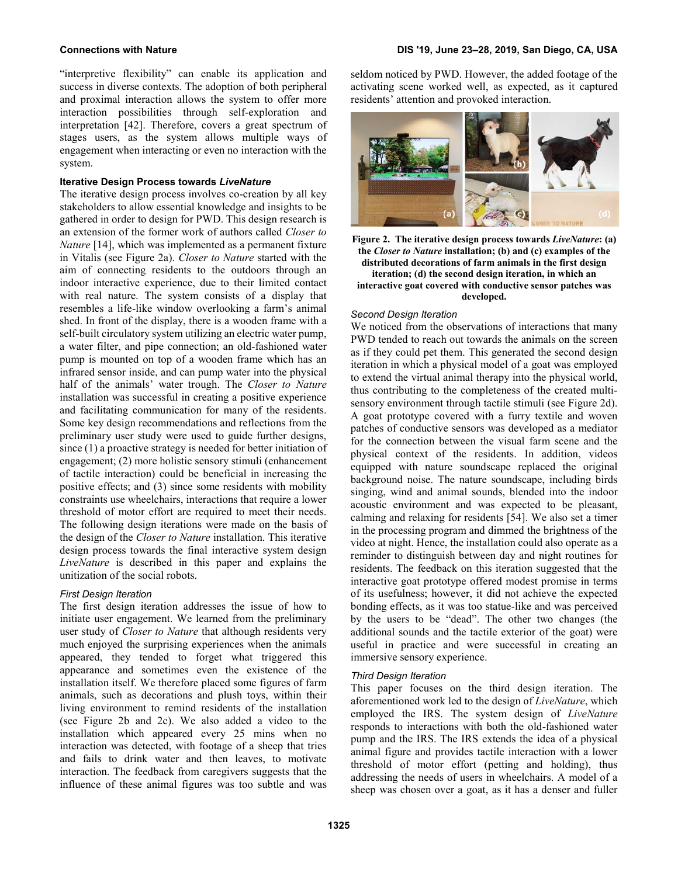"interpretive flexibility" can enable its application and success in diverse contexts. The adoption of both peripheral and proximal interaction allows the system to offer more interaction possibilities through self-exploration and interpretation [\[42\].](#page-11-9) Therefore, covers a great spectrum of stages users, as the system allows multiple ways of engagement when interacting or even no interaction with the system.

### **Iterative Design Process towards** *LiveNature*

The iterative design process involves co-creation by all key stakeholders to allow essential knowledge and insights to be gathered in order to design for PWD. This design research is an extension of the former work of authors called *Closer to Nature* [\[14\],](#page-10-20) which was implemented as a permanent fixture in Vitalis (see Figure 2a). *Closer to Nature* started with the aim of connecting residents to the outdoors through an indoor interactive experience, due to their limited contact with real nature. The system consists of a display that resembles a life-like window overlooking a farm's animal shed. In front of the display, there is a wooden frame with a self-built circulatory system utilizing an electric water pump, a water filter, and pipe connection; an old-fashioned water pump is mounted on top of a wooden frame which has an infrared sensor inside, and can pump water into the physical half of the animals' water trough. The *Closer to Nature* installation was successful in creating a positive experience and facilitating communication for many of the residents. Some key design recommendations and reflections from the preliminary user study were used to guide further designs, since (1) a proactive strategy is needed for better initiation of engagement; (2) more holistic sensory stimuli (enhancement of tactile interaction) could be beneficial in increasing the positive effects; and (3) since some residents with mobility constraints use wheelchairs, interactions that require a lower threshold of motor effort are required to meet their needs. The following design iterations were made on the basis of the design of the *Closer to Nature* installation. This iterative design process towards the final interactive system design *LiveNature* is described in this paper and explains the unitization of the social robots. Connections with the same of the same of the same of the same of the same of the same of the same of the same of the same of the same of the same of the same of the same of the same of the same of the same of the same of

#### *First Design Iteration*

The first design iteration addresses the issue of how to initiate user engagement. We learned from the preliminary user study of *Closer to Nature* that although residents very much enjoyed the surprising experiences when the animals appeared, they tended to forget what triggered this appearance and sometimes even the existence of the installation itself. We therefore placed some figures of farm animals, such as decorations and plush toys, within their living environment to remind residents of the installation (see Figure 2b and 2c). We also added a video to the installation which appeared every 25 mins when no interaction was detected, with footage of a sheep that tries and fails to drink water and then leaves, to motivate interaction. The feedback from caregivers suggests that the influence of these animal figures was too subtle and was

seldom noticed by PWD. However, the added footage of the activating scene worked well, as expected, as it captured residents' attention and provoked interaction.



**Figure 2. The iterative design process towards** *LiveNature***: (a) the** *Closer to Nature* **installation; (b) and (c) examples of the distributed decorations of farm animals in the first design iteration; (d) the second design iteration, in which an interactive goat covered with conductive sensor patches was developed.**

#### *Second Design Iteration*

We noticed from the observations of interactions that many PWD tended to reach out towards the animals on the screen as if they could pet them. This generated the second design iteration in which a physical model of a goat was employed to extend the virtual animal therapy into the physical world, thus contributing to the completeness of the created multisensory environment through tactile stimuli (see Figure 2d). A goat prototype covered with a furry textile and woven patches of conductive sensors was developed as a mediator for the connection between the visual farm scene and the physical context of the residents. In addition, videos equipped with nature soundscape replaced the original background noise. The nature soundscape, including birds singing, wind and animal sounds, blended into the indoor acoustic environment and was expected to be pleasant, calming and relaxing for residents [54]. We also set a timer in the processing program and dimmed the brightness of the video at night. Hence, the installation could also operate as a reminder to distinguish between day and night routines for residents. The feedback on this iteration suggested that the interactive goat prototype offered modest promise in terms of its usefulness; however, it did not achieve the expected bonding effects, as it was too statue-like and was perceived by the users to be "dead". The other two changes (the additional sounds and the tactile exterior of the goat) were useful in practice and were successful in creating an immersive sensory experience.

#### *Third Design Iteration*

This paper focuses on the third design iteration. The aforementioned work led to the design of *LiveNature*, which employed the IRS. The system design of *LiveNature* responds to interactions with both the old-fashioned water pump and the IRS. The IRS extends the idea of a physical animal figure and provides tactile interaction with a lower threshold of motor effort (petting and holding), thus addressing the needs of users in wheelchairs. A model of a sheep was chosen over a goat, as it has a denser and fuller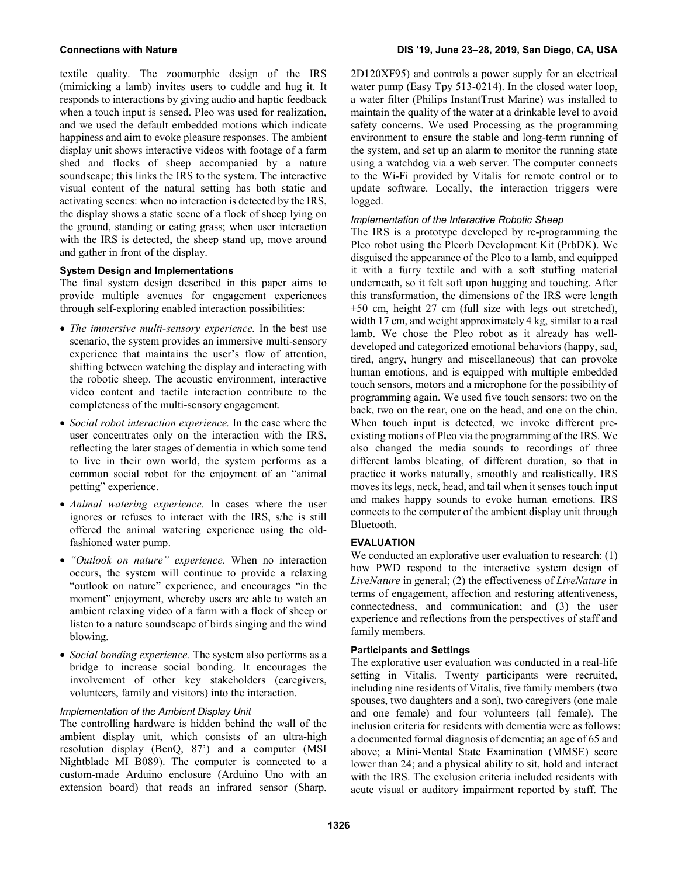textile quality. The zoomorphic design of the IRS (mimicking a lamb) invites users to cuddle and hug it. It responds to interactions by giving audio and haptic feedback when a touch input is sensed. Pleo was used for realization, and we used the default embedded motions which indicate happiness and aim to evoke pleasure responses. The ambient display unit shows interactive videos with footage of a farm shed and flocks of sheep accompanied by a nature soundscape; this links the IRS to the system. The interactive visual content of the natural setting has both static and activating scenes: when no interaction is detected by the IRS, the display shows a static scene of a flock of sheep lying on the ground, standing or eating grass; when user interaction with the IRS is detected, the sheep stand up, move around and gather in front of the display.

### **System Design and Implementations**

The final system design described in this paper aims to provide multiple avenues for engagement experiences through self-exploring enabled interaction possibilities:

- *The immersive multi-sensory experience.* In the best use scenario, the system provides an immersive multi-sensory experience that maintains the user's flow of attention, shifting between watching the display and interacting with the robotic sheep. The acoustic environment, interactive video content and tactile interaction contribute to the completeness of the multi-sensory engagement.
- *Social robot interaction experience.* In the case where the user concentrates only on the interaction with the IRS, reflecting the later stages of dementia in which some tend to live in their own world, the system performs as a common social robot for the enjoyment of an "animal petting" experience.
- *Animal watering experience.* In cases where the user ignores or refuses to interact with the IRS, s/he is still offered the animal watering experience using the oldfashioned water pump.
- *"Outlook on nature" experience.* When no interaction occurs, the system will continue to provide a relaxing "outlook on nature" experience, and encourages "in the moment" enjoyment, whereby users are able to watch an ambient relaxing video of a farm with a flock of sheep or listen to a nature soundscape of birds singing and the wind blowing.
- *Social bonding experience.* The system also performs as a bridge to increase social bonding. It encourages the involvement of other key stakeholders (caregivers, volunteers, family and visitors) into the interaction.

# *Implementation of the Ambient Display Unit*

The controlling hardware is hidden behind the wall of the ambient display unit, which consists of an ultra-high resolution display (BenQ, 87') and a computer (MSI Nightblade MI B089). The computer is connected to a custom-made Arduino enclosure (Arduino Uno with an extension board) that reads an infrared sensor (Sharp, 2D120XF95) and controls a power supply for an electrical water pump (Easy Tpy 513-0214). In the closed water loop, a water filter (Philips InstantTrust Marine) was installed to maintain the quality of the water at a drinkable level to avoid safety concerns. We used Processing as the programming environment to ensure the stable and long-term running of the system, and set up an alarm to monitor the running state using a watchdog via a web server. The computer connects to the Wi-Fi provided by Vitalis for remote control or to update software. Locally, the interaction triggers were logged.

# *Implementation of the Interactive Robotic Sheep*

The IRS is a prototype developed by re-programming the Pleo robot using the Pleorb Development Kit (PrbDK). We disguised the appearance of the Pleo to a lamb, and equipped it with a furry textile and with a soft stuffing material underneath, so it felt soft upon hugging and touching. After this transformation, the dimensions of the IRS were length ±50 cm, height 27 cm (full size with legs out stretched), width 17 cm, and weight approximately 4 kg, similar to a real lamb. We chose the Pleo robot as it already has welldeveloped and categorized emotional behaviors (happy, sad, tired, angry, hungry and miscellaneous) that can provoke human emotions, and is equipped with multiple embedded touch sensors, motors and a microphone for the possibility of programming again. We used five touch sensors: two on the back, two on the rear, one on the head, and one on the chin. When touch input is detected, we invoke different preexisting motions of Pleo via the programming of the IRS. We also changed the media sounds to recordings of three different lambs bleating, of different duration, so that in practice it works naturally, smoothly and realistically. IRS moves its legs, neck, head, and tail when it senses touch input and makes happy sounds to evoke human emotions. IRS connects to the computer of the ambient display unit through Bluetooth. Connections with keine the state state of the light of the 1983 Mann 23–28, 2019, San Diego, OA USA 1326<br>Consider the state of the state of the state of the state of the state properties of the state of the state of the st

# **EVALUATION**

We conducted an explorative user evaluation to research: (1) how PWD respond to the interactive system design of *LiveNature* in general; (2) the effectiveness of *LiveNature* in terms of engagement, affection and restoring attentiveness, connectedness, and communication; and (3) the user experience and reflections from the perspectives of staff and family members.

### **Participants and Settings**

The explorative user evaluation was conducted in a real-life setting in Vitalis. Twenty participants were recruited, including nine residents of Vitalis, five family members (two spouses, two daughters and a son), two caregivers (one male and one female) and four volunteers (all female). The inclusion criteria for residents with dementia were as follows: a documented formal diagnosis of dementia; an age of 65 and above; a Mini-Mental State Examination (MMSE) score lower than 24; and a physical ability to sit, hold and interact with the IRS. The exclusion criteria included residents with acute visual or auditory impairment reported by staff. The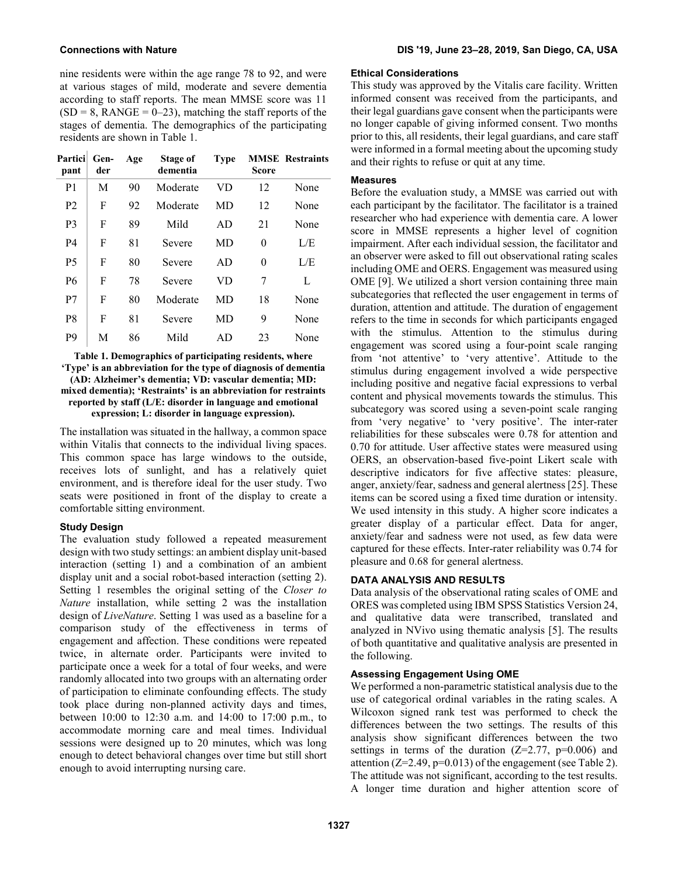nine residents were within the age range 78 to 92, and were at various stages of mild, moderate and severe dementia according to staff reports. The mean MMSE score was 11  $(SD = 8, RANGE = 0-23)$ , matching the staff reports of the stages of dementia. The demographics of the participating residents are shown in Table 1.

| Partici <br>pant | Gen-<br>der | Age | Stage of<br>dementia | <b>Type</b> | <b>Score</b> | <b>MMSE</b> Restraints |
|------------------|-------------|-----|----------------------|-------------|--------------|------------------------|
| P <sub>1</sub>   | M           | 90  | Moderate             | VD          | 12           | None                   |
| P <sub>2</sub>   | F           | 92  | Moderate             | MD          | 12           | None                   |
| P3               | F           | 89  | Mild                 | AD          | 21           | None                   |
| P4               | F           | 81  | Severe               | MD          | 0            | L/E                    |
| P <sub>5</sub>   | F           | 80  | Severe               | AD          | 0            | L/E                    |
| P <sub>6</sub>   | F           | 78  | Severe               | VD          | 7            | L                      |
| P <sub>7</sub>   | F           | 80  | Moderate             | MD          | 18           | None                   |
| P <sub>8</sub>   | F           | 81  | Severe               | MD          | 9            | None                   |
| P <sub>9</sub>   | M           | 86  | Mild                 | AD          | 23           | None                   |
|                  |             |     |                      |             |              |                        |

**Table 1. Demographics of participating residents, where 'Type' is an abbreviation for the type of diagnosis of dementia (AD: Alzheimer's dementia; VD: vascular dementia; MD: mixed dementia); 'Restraints' is an abbreviation for restraints reported by staff (L/E: disorder in language and emotional expression; L: disorder in language expression).** 

The installation was situated in the hallway, a common space within Vitalis that connects to the individual living spaces. This common space has large windows to the outside, receives lots of sunlight, and has a relatively quiet environment, and is therefore ideal for the user study. Two seats were positioned in front of the display to create a comfortable sitting environment.

#### **Study Design**

The evaluation study followed a repeated measurement design with two study settings: an ambient display unit-based interaction (setting 1) and a combination of an ambient display unit and a social robot-based interaction (setting 2). Setting 1 resembles the original setting of the *Closer to Nature* installation, while setting 2 was the installation design of *LiveNature*. Setting 1 was used as a baseline for a comparison study of the effectiveness in terms of engagement and affection. These conditions were repeated twice, in alternate order. Participants were invited to participate once a week for a total of four weeks, and were randomly allocated into two groups with an alternating order of participation to eliminate confounding effects. The study took place during non-planned activity days and times, between 10:00 to 12:30 a.m. and 14:00 to 17:00 p.m., to accommodate morning care and meal times. Individual sessions were designed up to 20 minutes, which was long enough to detect behavioral changes over time but still short enough to avoid interrupting nursing care.

#### **Ethical Considerations**

This study was approved by the Vitalis care facility. Written informed consent was received from the participants, and their legal guardians gave consent when the participants were no longer capable of giving informed consent. Two months prior to this, all residents, their legal guardians, and care staff were informed in a formal meeting about the upcoming study and their rights to refuse or quit at any time.

#### **Measures**

Before the evaluation study, a MMSE was carried out with each participant by the facilitator. The facilitator is a trained researcher who had experience with dementia care. A lower score in MMSE represents a higher level of cognition impairment. After each individual session, the facilitator and an observer were asked to fill out observational rating scales including OME and OERS. Engagement was measured using OME [9]. We utilized a short version containing three main subcategories that reflected the user engagement in terms of duration, attention and attitude. The duration of engagement refers to the time in seconds for which participants engaged with the stimulus. Attention to the stimulus during engagement was scored using a four-point scale ranging from 'not attentive' to 'very attentive'. Attitude to the stimulus during engagement involved a wide perspective including positive and negative facial expressions to verbal content and physical movements towards the stimulus. This subcategory was scored using a seven-point scale ranging from 'very negative' to 'very positive'. The inter-rater reliabilities for these subscales were 0.78 for attention and 0.70 for attitude. User affective states were measured using OERS, an observation-based five-point Likert scale with descriptive indicators for five affective states: pleasure, anger, anxiety/fear, sadness and general alertness [25]. These items can be scored using a fixed time duration or intensity. We used intensity in this study. A higher score indicates a greater display of a particular effect. Data for anger, anxiety/fear and sadness were not used, as few data were captured for these effects. Inter-rater reliability was 0.74 for pleasure and 0.68 for general alertness. Connections with the specific the specific term in the specific term in the specific term in the specific term in the specific term in the specific term in the specific term in the specific term in the specific term in th

# **DATA ANALYSIS AND RESULTS**

Data analysis of the observational rating scales of OME and ORES was completed using IBM SPSS Statistics Version 24, and qualitative data were transcribed, translated and analyzed in NVivo using thematic analysis [5]. The results of both quantitative and qualitative analysis are presented in the following.

### **Assessing Engagement Using OME**

We performed a non-parametric statistical analysis due to the use of categorical ordinal variables in the rating scales. A Wilcoxon signed rank test was performed to check the differences between the two settings. The results of this analysis show significant differences between the two settings in terms of the duration  $(Z=2.77, p=0.006)$  and attention ( $Z=2.49$ ,  $p=0.013$ ) of the engagement (see Table 2). The attitude was not significant, according to the test results. A longer time duration and higher attention score of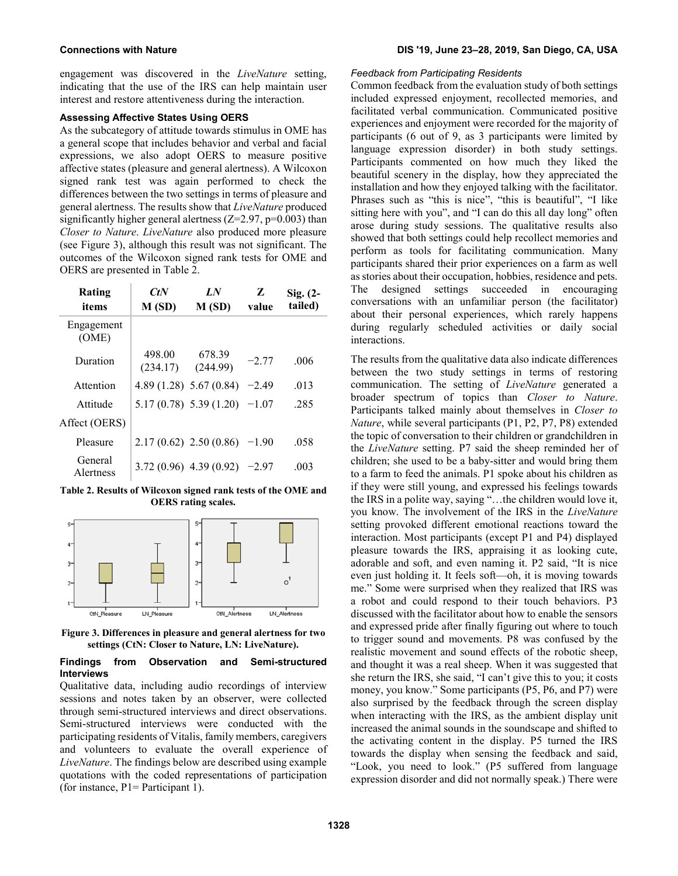engagement was discovered in the *LiveNature* setting, indicating that the use of the IRS can help maintain user interest and restore attentiveness during the interaction.

#### **Assessing Affective States Using OERS**

As the subcategory of attitude towards stimulus in OME has a general scope that includes behavior and verbal and facial expressions, we also adopt OERS to measure positive affective states (pleasure and general alertness). A Wilcoxon signed rank test was again performed to check the differences between the two settings in terms of pleasure and general alertness. The results show that *LiveNature* produced significantly higher general alertness ( $Z=2.97$ ,  $p=0.003$ ) than *Closer to Nature*. *LiveNature* also produced more pleasure (see Figure 3), although this result was not significant. The outcomes of the Wilcoxon signed rank tests for OME and OERS are presented in Table 2.

| Rating<br>items      | CtN<br>M(SD)       | LN<br>M(SD)                 | Z<br>value | $Sig. (2-$<br>tailed) |
|----------------------|--------------------|-----------------------------|------------|-----------------------|
| Engagement<br>(OME)  |                    |                             |            |                       |
| Duration             | 498.00<br>(234.17) | 678.39<br>(244.99)          | $-2.77$    | .006                  |
| Attention            |                    | 4.89 $(1.28)$ 5.67 $(0.84)$ | $-2.49$    | .013                  |
| Attitude             |                    | $5.17(0.78)$ $5.39(1.20)$   | $-1.07$    | .285                  |
| Affect (OERS)        |                    |                             |            |                       |
| Pleasure             |                    | $2.17(0.62)$ $2.50(0.86)$   | $-1.90$    | .058                  |
| General<br>Alertness |                    | $3.72(0.96)$ 4.39 $(0.92)$  | $-2.97$    | .003                  |

**Table 2. Results of Wilcoxon signed rank tests of the OME and OERS rating scales.** 



**Figure 3. Differences in pleasure and general alertness for two settings (CtN: Closer to Nature, LN: LiveNature).**

#### **Findings from Observation and Semi-structured Interviews**

Qualitative data, including audio recordings of interview sessions and notes taken by an observer, were collected through semi-structured interviews and direct observations. Semi-structured interviews were conducted with the participating residents of Vitalis, family members, caregivers and volunteers to evaluate the overall experience of *LiveNature*. The findings below are described using example quotations with the coded representations of participation (for instance, P1= Participant 1).

#### *Feedback from Participating Residents*

Common feedback from the evaluation study of both settings included expressed enjoyment, recollected memories, and facilitated verbal communication. Communicated positive experiences and enjoyment were recorded for the majority of participants (6 out of 9, as 3 participants were limited by language expression disorder) in both study settings. Participants commented on how much they liked the beautiful scenery in the display, how they appreciated the installation and how they enjoyed talking with the facilitator. Phrases such as "this is nice", "this is beautiful", "I like sitting here with you", and "I can do this all day long" often arose during study sessions. The qualitative results also showed that both settings could help recollect memories and perform as tools for facilitating communication. Many participants shared their prior experiences on a farm as well as stories about their occupation, hobbies, residence and pets. The designed settings succeeded in encouraging conversations with an unfamiliar person (the facilitator) about their personal experiences, which rarely happens during regularly scheduled activities or daily social interactions.

The results from the qualitative data also indicate differences between the two study settings in terms of restoring communication. The setting of *LiveNature* generated a broader spectrum of topics than *Closer to Nature*. Participants talked mainly about themselves in *Closer to Nature*, while several participants (P1, P2, P7, P8) extended the topic of conversation to their children or grandchildren in the *LiveNature* setting. P7 said the sheep reminded her of children; she used to be a baby-sitter and would bring them to a farm to feed the animals. P1 spoke about his children as if they were still young, and expressed his feelings towards the IRS in a polite way, saying "…the children would love it, you know. The involvement of the IRS in the *LiveNature* setting provoked different emotional reactions toward the interaction. Most participants (except P1 and P4) displayed pleasure towards the IRS, appraising it as looking cute, adorable and soft, and even naming it. P2 said, "It is nice even just holding it. It feels soft—oh, it is moving towards me." Some were surprised when they realized that IRS was a robot and could respond to their touch behaviors. P3 discussed with the facilitator about how to enable the sensors and expressed pride after finally figuring out where to touch to trigger sound and movements. P8 was confused by the realistic movement and sound effects of the robotic sheep, and thought it was a real sheep. When it was suggested that she return the IRS, she said, "I can't give this to you; it costs money, you know." Some participants (P5, P6, and P7) were also surprised by the feedback through the screen display when interacting with the IRS, as the ambient display unit increased the animal sounds in the soundscape and shifted to the activating content in the display. P5 turned the IRS towards the display when sensing the feedback and said, "Look, you need to look." (P5 suffered from language expression disorder and did not normally speak.) There were Connections with Material Connections with the state of the connection of the state of the connection of the state of the connection of the state of the connection of the state of the connection of the state of the connect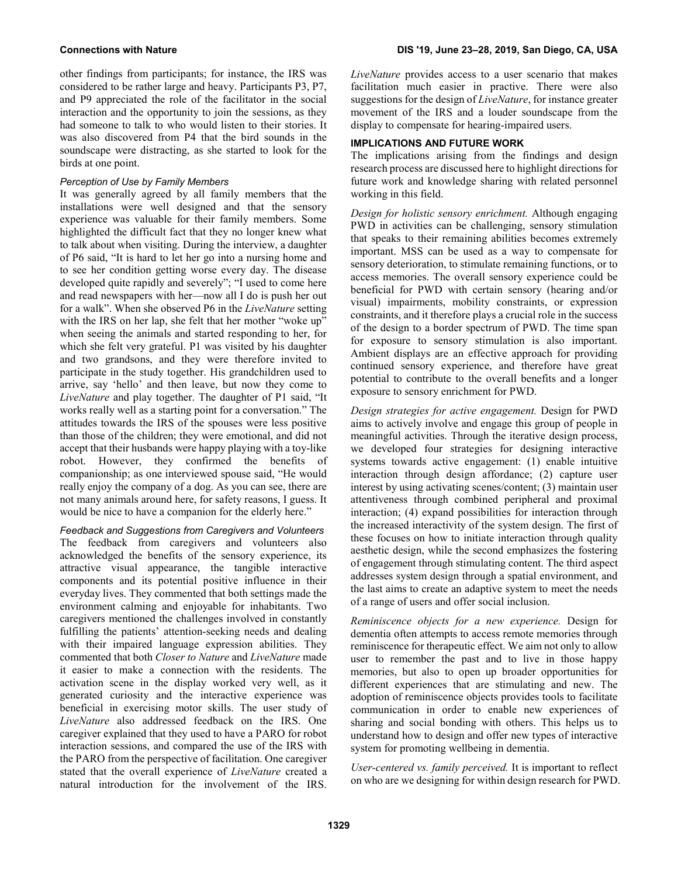other findings from participants; for instance, the IRS was considered to be rather large and heavy. Participants P3, P7, and P9 appreciated the role of the facilitator in the social interaction and the opportunity to join the sessions, as they had someone to talk to who would listen to their stories. It was also discovered from P4 that the bird sounds in the soundscape were distracting, as she started to look for the birds at one point.

### *Perception of Use by Family Members*

It was generally agreed by all family members that the installations were well designed and that the sensory experience was valuable for their family members. Some highlighted the difficult fact that they no longer knew what to talk about when visiting. During the interview, a daughter of P6 said, "It is hard to let her go into a nursing home and to see her condition getting worse every day. The disease developed quite rapidly and severely"; "I used to come here and read newspapers with her—now all I do is push her out for a walk". When she observed P6 in the *LiveNature* setting with the IRS on her lap, she felt that her mother "woke up" when seeing the animals and started responding to her, for which she felt very grateful. P1 was visited by his daughter and two grandsons, and they were therefore invited to participate in the study together. His grandchildren used to arrive, say 'hello' and then leave, but now they come to *LiveNature* and play together. The daughter of P1 said, "It works really well as a starting point for a conversation." The attitudes towards the IRS of the spouses were less positive than those of the children; they were emotional, and did not accept that their husbands were happy playing with a toy-like robot. However, they confirmed the benefits of companionship; as one interviewed spouse said, "He would really enjoy the company of a dog. As you can see, there are not many animals around here, for safety reasons, I guess. It would be nice to have a companion for the elderly here." **Connections was sharing the state of the state of the state of the state of the state of the state of the state of the state of the state of the state of the state of the state of the state of the state of the state of t** 

*Feedback and Suggestions from Caregivers and Volunteers* The feedback from caregivers and volunteers also acknowledged the benefits of the sensory experience, its attractive visual appearance, the tangible interactive components and its potential positive influence in their everyday lives. They commented that both settings made the environment calming and enjoyable for inhabitants. Two caregivers mentioned the challenges involved in constantly fulfilling the patients' attention-seeking needs and dealing with their impaired language expression abilities. They commented that both *Closer to Nature* and *LiveNature* made it easier to make a connection with the residents. The activation scene in the display worked very well, as it generated curiosity and the interactive experience was beneficial in exercising motor skills. The user study of *LiveNature* also addressed feedback on the IRS. One caregiver explained that they used to have a PARO for robot interaction sessions, and compared the use of the IRS with the PARO from the perspective of facilitation. One caregiver stated that the overall experience of *LiveNature* created a natural introduction for the involvement of the IRS.

*LiveNature* provides access to a user scenario that makes facilitation much easier in practive. There were also suggestions for the design of *LiveNature*, for instance greater movement of the IRS and a louder soundscape from the display to compensate for hearing-impaired users.

### **IMPLICATIONS AND FUTURE WORK**

The implications arising from the findings and design research process are discussed here to highlight directions for future work and knowledge sharing with related personnel working in this field.

*Design for holistic sensory enrichment.* Although engaging PWD in activities can be challenging, sensory stimulation that speaks to their remaining abilities becomes extremely important. MSS can be used as a way to compensate for sensory deterioration, to stimulate remaining functions, or to access memories. The overall sensory experience could be beneficial for PWD with certain sensory (hearing and/or visual) impairments, mobility constraints, or expression constraints, and it therefore plays a crucial role in the success of the design to a border spectrum of PWD. The time span for exposure to sensory stimulation is also important. Ambient displays are an effective approach for providing continued sensory experience, and therefore have great potential to contribute to the overall benefits and a longer exposure to sensory enrichment for PWD.

*Design strategies for active engagement.* Design for PWD aims to actively involve and engage this group of people in meaningful activities. Through the iterative design process, we developed four strategies for designing interactive systems towards active engagement: (1) enable intuitive interaction through design affordance; (2) capture user interest by using activating scenes/content; (3) maintain user attentiveness through combined peripheral and proximal interaction; (4) expand possibilities for interaction through the increased interactivity of the system design. The first of these focuses on how to initiate interaction through quality aesthetic design, while the second emphasizes the fostering of engagement through stimulating content. The third aspect addresses system design through a spatial environment, and the last aims to create an adaptive system to meet the needs of a range of users and offer social inclusion.

*Reminiscence objects for a new experience.* Design for dementia often attempts to access remote memories through reminiscence for therapeutic effect. We aim not only to allow user to remember the past and to live in those happy memories, but also to open up broader opportunities for different experiences that are stimulating and new. The adoption of reminiscence objects provides tools to facilitate communication in order to enable new experiences of sharing and social bonding with others. This helps us to understand how to design and offer new types of interactive system for promoting wellbeing in dementia.

*User-centered vs. family perceived.* It is important to reflect on who are we designing for within design research for PWD.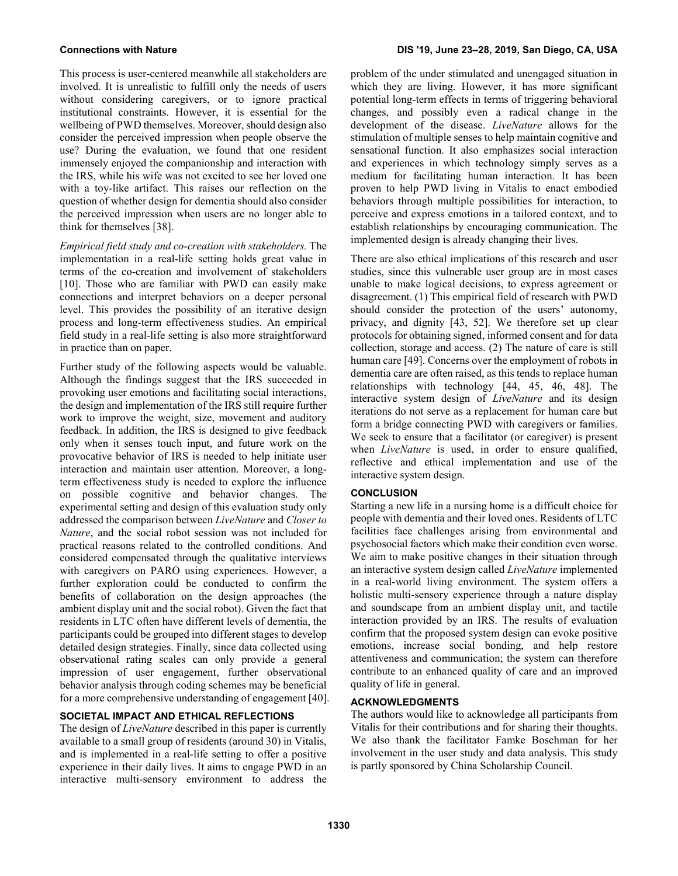This process is user-centered meanwhile all stakeholders are involved. It is unrealistic to fulfill only the needs of users without considering caregivers, or to ignore practical institutional constraints. However, it is essential for the wellbeing of PWD themselves. Moreover, should design also consider the perceived impression when people observe the use? During the evaluation, we found that one resident immensely enjoyed the companionship and interaction with the IRS, while his wife was not excited to see her loved one with a toy-like artifact. This raises our reflection on the question of whether design for dementia should also consider the perceived impression when users are no longer able to think for themselves [\[38\].](#page-11-19)

*Empirical field study and co-creation with stakeholders.* The implementation in a real-life setting holds great value in terms of the co-creation and involvement of stakeholders [\[10\].](#page-10-23) Those who are familiar with PWD can easily make connections and interpret behaviors on a deeper personal level. This provides the possibility of an iterative design process and long-term effectiveness studies. An empirical field study in a real-life setting is also more straightforward in practice than on paper.

Further study of the following aspects would be valuable. Although the findings suggest that the IRS succeeded in provoking user emotions and facilitating social interactions, the design and implementation of the IRS still require further work to improve the weight, size, movement and auditory feedback. In addition, the IRS is designed to give feedback only when it senses touch input, and future work on the provocative behavior of IRS is needed to help initiate user interaction and maintain user attention. Moreover, a longterm effectiveness study is needed to explore the influence on possible cognitive and behavior changes. The experimental setting and design of this evaluation study only addressed the comparison between *LiveNature* and *Closer to Nature*, and the social robot session was not included for practical reasons related to the controlled conditions. And considered compensated through the qualitative interviews with caregivers on PARO using experiences. However, a further exploration could be conducted to confirm the benefits of collaboration on the design approaches (the ambient display unit and the social robot). Given the fact that residents in LTC often have different levels of dementia, the participants could be grouped into different stages to develop detailed design strategies. Finally, since data collected using observational rating scales can only provide a general impression of user engagement, further observational behavior analysis through coding schemes may be beneficial for a more comprehensive understanding of engagement [\[40\].](#page-11-11) Connection is a higher of the state of the state of the state of the state of the state of the state of the state of the state of the state of the state of the state of the state of the state of the state of the state of t

# **SOCIETAL IMPACT AND ETHICAL REFLECTIONS**

The design of *LiveNature* described in this paper is currently available to a small group of residents (around 30) in Vitalis, and is implemented in a real-life setting to offer a positive experience in their daily lives. It aims to engage PWD in an interactive multi-sensory environment to address the problem of the under stimulated and unengaged situation in which they are living. However, it has more significant potential long-term effects in terms of triggering behavioral changes, and possibly even a radical change in the development of the disease. *LiveNature* allows for the stimulation of multiple senses to help maintain cognitive and sensational function. It also emphasizes social interaction and experiences in which technology simply serves as a medium for facilitating human interaction. It has been proven to help PWD living in Vitalis to enact embodied behaviors through multiple possibilities for interaction, to perceive and express emotions in a tailored context, and to establish relationships by encouraging communication. The implemented design is already changing their lives.

There are also ethical implications of this research and user studies, since this vulnerable user group are in most cases unable to make logical decisions, to express agreement or disagreement. (1) This empirical field of research with PWD should consider the protection of the users' autonomy, privacy, and dignity [43, 52]. We therefore set up clear protocols for obtaining signed, informed consent and for data collection, storage and access. (2) The nature of care is still human care [49]. Concerns over the employment of robots in dementia care are often raised, as this tends to replace human relationships with technology [44, 45, 46, 48]. The interactive system design of *LiveNature* and its design iterations do not serve as a replacement for human care but form a bridge connecting PWD with caregivers or families. We seek to ensure that a facilitator (or caregiver) is present when *LiveNature* is used, in order to ensure qualified, reflective and ethical implementation and use of the interactive system design.

# **CONCLUSION**

Starting a new life in a nursing home is a difficult choice for people with dementia and their loved ones. Residents of LTC facilities face challenges arising from environmental and psychosocial factors which make their condition even worse. We aim to make positive changes in their situation through an interactive system design called *LiveNature* implemented in a real-world living environment. The system offers a holistic multi-sensory experience through a nature display and soundscape from an ambient display unit, and tactile interaction provided by an IRS. The results of evaluation confirm that the proposed system design can evoke positive emotions, increase social bonding, and help restore attentiveness and communication; the system can therefore contribute to an enhanced quality of care and an improved quality of life in general.

### **ACKNOWLEDGMENTS**

The authors would like to acknowledge all participants from Vitalis for their contributions and for sharing their thoughts. We also thank the facilitator Famke Boschman for her involvement in the user study and data analysis. This study is partly sponsored by China Scholarship Council.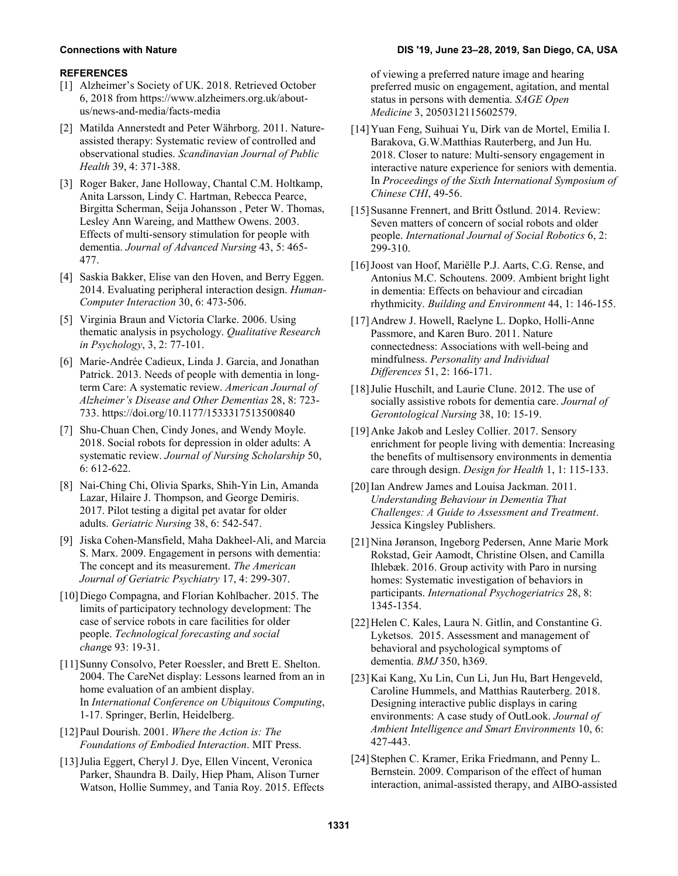### **REFERENCES**

- <span id="page-10-0"></span>[1] Alzheimer's Society of UK. 2018. Retrieved October 6, 2018 fro[m https://www.alzheimers.org.uk/about](https://www.alzheimers.org.uk/about-us/news-and-media/facts-media)[us/news-and-media/facts-media](https://www.alzheimers.org.uk/about-us/news-and-media/facts-media)
- <span id="page-10-17"></span><span id="page-10-3"></span>[2] Matilda Annerstedt and Peter Währborg. 2011. Natureassisted therapy: Systematic review of controlled and observational studies. *Scandinavian Journal of Public Health* 39, 4: 371-388.
- [3] Roger Baker, Jane Holloway, Chantal C.M. Holtkamp, Anita Larsson, Lindy C. Hartman, Rebecca Pearce, Birgitta Scherman, Seija Johansson , Peter W. Thomas, Lesley Ann Wareing, and Matthew Owens. 2003. Effects of multi-sensory stimulation for people with dementia. *Journal of Advanced Nursing* 43, 5: 465- 477. **Connections with Nature DIS '19, June 23–28, 2019, San Diego, CA, USA 1331**
- <span id="page-10-4"></span>[4] Saskia Bakker, Elise van den Hoven, and Berry Eggen. 2014. Evaluating peripheral interaction design. *Human-Computer Interaction* 30, 6: 473-506.
- <span id="page-10-22"></span>[5] Virginia Braun and Victoria Clarke. 2006. Using thematic analysis in psychology. *Qualitative Research in Psychology*, 3, 2: 77-101.
- <span id="page-10-2"></span>[6] Marie-Andrée Cadieux, Linda J. Garcia, and Jonathan Patrick. 2013. Needs of people with dementia in longterm Care: A systematic review. *American Journal of Alzheimer's Disease and Other Dementias* 28, 8: 723- 733. https://doi.org/10.1177/1533317513500840
- <span id="page-10-10"></span>[7] Shu-Chuan Chen, Cindy Jones, and Wendy Moyle. 2018. Social robots for depression in older adults: A systematic review. *Journal of Nursing Scholarship* 50, 6: 612-622.
- <span id="page-10-19"></span>[8] Nai-Ching Chi, Olivia Sparks, Shih-Yin Lin, Amanda Lazar, Hilaire J. Thompson, and George Demiris. 2017. Pilot testing a digital pet avatar for older adults. *Geriatric Nursing* 38, 6: 542-547.
- <span id="page-10-21"></span>[9] Jiska Cohen-Mansfield, Maha Dakheel-Ali, and Marcia S. Marx. 2009. Engagement in persons with dementia: The concept and its measurement. *The American Journal of Geriatric Psychiatry* 17, 4: 299-307.
- <span id="page-10-23"></span>[10]Diego Compagna, and Florian Kohlbacher. 2015. The limits of participatory technology development: The case of service robots in care facilities for older people. *Technological forecasting and social chang*e 93: 19-31.
- <span id="page-10-6"></span>[11] Sunny Consolvo, Peter Roessler, and Brett E. Shelton. 2004. The CareNet display: Lessons learned from an in home evaluation of an ambient display. In *International Conference on Ubiquitous Computing*, 1-17. Springer, Berlin, Heidelberg.
- <span id="page-10-8"></span>[12]Paul Dourish. 2001. *Where the Action is: The Foundations of Embodied Interaction*. MIT Press.
- <span id="page-10-18"></span>[13]Julia Eggert, Cheryl J. Dye, Ellen Vincent, Veronica Parker, Shaundra B. Daily, Hiep Pham, Alison Turner Watson, Hollie Summey, and Tania Roy. 2015. Effects

of viewing a preferred nature image and hearing preferred music on engagement, agitation, and mental status in persons with dementia. *SAGE Open Medicine* 3, 2050312115602579.

- <span id="page-10-20"></span>[14]Yuan Feng, Suihuai Yu, Dirk van de Mortel, Emilia I. Barakova, G.W.Matthias Rauterberg, and Jun Hu. 2018. Closer to nature: Multi-sensory engagement in interactive nature experience for seniors with dementia. In *Proceedings of the Sixth International Symposium of Chinese CHI*, 49-56.
- <span id="page-10-14"></span>[15] Susanne Frennert, and Britt Östlund. 2014. Review: Seven matters of concern of social robots and older people. *International Journal of Social Robotics* 6, 2: 299-310.
- <span id="page-10-7"></span>[16] Joost van Hoof, Mariëlle P.J. Aarts, C.G. Rense, and Antonius M.C. Schoutens. 2009. Ambient bright light in dementia: Effects on behaviour and circadian rhythmicity. *Building and Environment* 44, 1: 146-155.
- <span id="page-10-16"></span>[17]Andrew J. Howell, Raelyne L. Dopko, Holli-Anne Passmore, and Karen Buro. 2011. Nature connectedness: Associations with well-being and mindfulness. *Personality and Individual Differences* 51, 2: 166-171.
- <span id="page-10-11"></span>[18] Julie Huschilt, and Laurie Clune. 2012. The use of socially assistive robots for dementia care. *Journal of Gerontological Nursing* 38, 10: 15-19.
- <span id="page-10-5"></span>[19]Anke Jakob and Lesley Collier. 2017. Sensory enrichment for people living with dementia: Increasing the benefits of multisensory environments in dementia care through design. *Design for Health* 1, 1: 115-133.
- <span id="page-10-15"></span>[20]Ian Andrew James and Louisa Jackman. 2011. *Understanding Behaviour in Dementia That Challenges: A Guide to Assessment and Treatment*. Jessica Kingsley Publishers.
- <span id="page-10-12"></span>[21]Nina Jøranson, Ingeborg Pedersen, Anne Marie Mork Rokstad, Geir Aamodt, Christine Olsen, and Camilla Ihlebæk. 2016. Group activity with Paro in nursing homes: Systematic investigation of behaviors in participants. *International Psychogeriatrics* 28, 8: 1345-1354.
- <span id="page-10-1"></span>[22] Helen C. Kales, Laura N. Gitlin, and Constantine G. Lyketsos. 2015. Assessment and management of behavioral and psychological symptoms of dementia. *BMJ* 350, h369.
- <span id="page-10-9"></span>[23]Kai Kang, Xu Lin, Cun Li, Jun Hu, Bart Hengeveld, Caroline Hummels, and Matthias Rauterberg. 2018. Designing interactive public displays in caring environments: A case study of OutLook. *Journal of Ambient Intelligence and Smart Environments* 10, 6: 427-443.
- <span id="page-10-13"></span>[24]Stephen C. Kramer, Erika Friedmann, and Penny L. Bernstein. 2009. Comparison of the effect of human interaction, animal-assisted therapy, and AIBO-assisted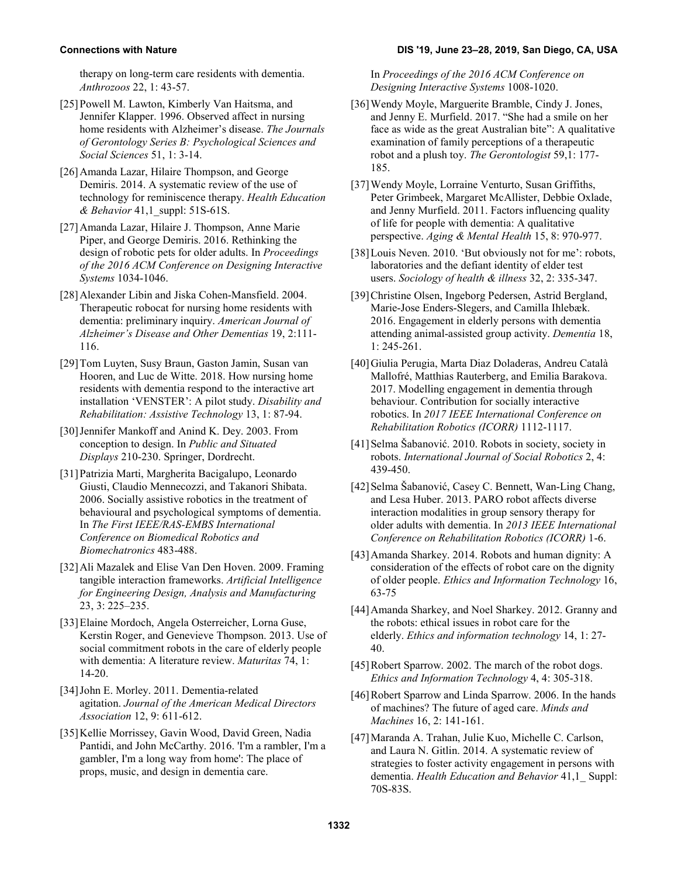therapy on long-term care residents with dementia. *Anthrozoos* 22, 1: 43-57.

- <span id="page-11-18"></span>[25]Powell M. Lawton, Kimberly Van Haitsma, and Jennifer Klapper. 1996. Observed affect in nursing home residents with Alzheimer's disease. *The Journals of Gerontology Series B: Psychological Sciences and Social Sciences* 51, 1: 3-14.
- <span id="page-11-16"></span>[26]Amanda Lazar, Hilaire Thompson, and George Demiris. 2014. A systematic review of the use of technology for reminiscence therapy. *Health Education & Behavior* 41,1\_suppl: 51S-61S.
- <span id="page-11-2"></span>[27]Amanda Lazar, Hilaire J. Thompson, Anne Marie Piper, and George Demiris. 2016. Rethinking the design of robotic pets for older adults. In *Proceedings of the 2016 ACM Conference on Designing Interactive Systems* 1034-1046.
- <span id="page-11-10"></span>[28]Alexander Libin and Jiska Cohen-Mansfield. 2004. Therapeutic robocat for nursing home residents with dementia: preliminary inquiry. *American Journal of Alzheimer's Disease and Other Dementias* 19, 2:111- 116.
- <span id="page-11-6"></span>[29]Tom Luyten, Susy Braun, Gaston Jamin, Susan van Hooren, and Luc de Witte. 2018. How nursing home residents with dementia respond to the interactive art installation 'VENSTER': A pilot study. *Disability and Rehabilitation: Assistive Technology* 13, 1: 87-94.
- <span id="page-11-8"></span><span id="page-11-4"></span>[30]Jennifer Mankoff and Anind K. Dey. 2003. From conception to design. In *Public and Situated Displays* 210-230. Springer, Dordrecht.
- [31]Patrizia Marti, Margherita Bacigalupo, Leonardo Giusti, Claudio Mennecozzi, and Takanori Shibata. 2006. Socially assistive robotics in the treatment of behavioural and psychological symptoms of dementia. In *The First IEEE/RAS-EMBS International Conference on Biomedical Robotics and Biomechatronics* 483-488. **Connections with Material Connections with American Connections with the same state of the same of the same state of the same state of the same state of the same state of the same state of the same state of the same stat**
- <span id="page-11-5"></span>[32]Ali Mazalek and Elise Van Den Hoven. 2009. Framing tangible interaction frameworks. *Artificial Intelligence for Engineering Design, Analysis and Manufacturing* 23, 3: 225–235.
- <span id="page-11-7"></span>[33]Elaine Mordoch, Angela Osterreicher, Lorna Guse, Kerstin Roger, and Genevieve Thompson. 2013. Use of social commitment robots in the care of elderly people with dementia: A literature review. *Maturitas* 74, 1: 14-20.
- <span id="page-11-0"></span>[34]John E. Morley. 2011. Dementia-related agitation. *Journal of the American Medical Directors Association* 12, 9: 611-612.
- <span id="page-11-17"></span>[35]Kellie Morrissey, Gavin Wood, David Green, Nadia Pantidi, and John McCarthy. 2016. 'I'm a rambler, I'm a gambler, I'm a long way from home': The place of props, music, and design in dementia care.

In *Proceedings of the 2016 ACM Conference on Designing Interactive Systems* 1008-1020.

- <span id="page-11-12"></span>[36]Wendy Moyle, Marguerite Bramble, Cindy J. Jones, and Jenny E. Murfield. 2017. "She had a smile on her face as wide as the great Australian bite": A qualitative examination of family perceptions of a therapeutic robot and a plush toy. *The Gerontologist* 59,1: 177- 185.
- <span id="page-11-14"></span>[37]Wendy Moyle, Lorraine Venturto, Susan Griffiths, Peter Grimbeek, Margaret McAllister, Debbie Oxlade, and Jenny Murfield. 2011. Factors influencing quality of life for people with dementia: A qualitative perspective. *Aging & Mental Health* 15, 8: 970-977.
- <span id="page-11-19"></span>[38] Louis Neven. 2010. 'But obviously not for me': robots, laboratories and the defiant identity of elder test users. *Sociology of health & illness* 32, 2: 335-347.
- <span id="page-11-15"></span>[39]Christine Olsen, Ingeborg Pedersen, Astrid Bergland, Marie-Jose Enders-Slegers, and Camilla Ihlebæk. 2016. Engagement in elderly persons with dementia attending animal-assisted group activity. *Dementia* 18, 1: 245-261.
- <span id="page-11-11"></span>[40]Giulia Perugia, Marta Diaz Doladeras, Andreu Català Mallofré, Matthias Rauterberg, and Emilia Barakova. 2017. Modelling engagement in dementia through behaviour. Contribution for socially interactive robotics. In *2017 IEEE International Conference on Rehabilitation Robotics (ICORR)* 1112-1117.
- <span id="page-11-1"></span>[41] Selma Šabanović. 2010. Robots in society, society in robots. *International Journal of Social Robotics* 2, 4: 439-450.
- <span id="page-11-9"></span>[42] Selma Šabanović, Casey C. Bennett, Wan-Ling Chang, and Lesa Huber. 2013. PARO robot affects diverse interaction modalities in group sensory therapy for older adults with dementia. In *2013 IEEE International Conference on Rehabilitation Robotics (ICORR)* 1-6.
- <span id="page-11-13"></span>[43]Amanda Sharkey. 2014. Robots and human dignity: A consideration of the effects of robot care on the dignity of older people. *Ethics and Information Technology* 16, 63-75
- <span id="page-11-20"></span>[44]Amanda Sharkey, and Noel Sharkey. 2012. Granny and the robots: ethical issues in robot care for the elderly. *Ethics and information technology* 14, 1: 27- 40.
- <span id="page-11-21"></span>[45] Robert Sparrow. 2002. The march of the robot dogs. *Ethics and Information Technology* 4, 4: 305-318.
- <span id="page-11-22"></span>[46]Robert Sparrow and Linda Sparrow. 2006. In the hands of machines? The future of aged care. *Minds and Machines* 16, 2: 141-161.
- <span id="page-11-3"></span>[47]Maranda A. Trahan, Julie Kuo, Michelle C. Carlson, and Laura N. Gitlin. 2014. A systematic review of strategies to foster activity engagement in persons with dementia. *Health Education and Behavior* 41,1\_ Suppl: 70S-83S.